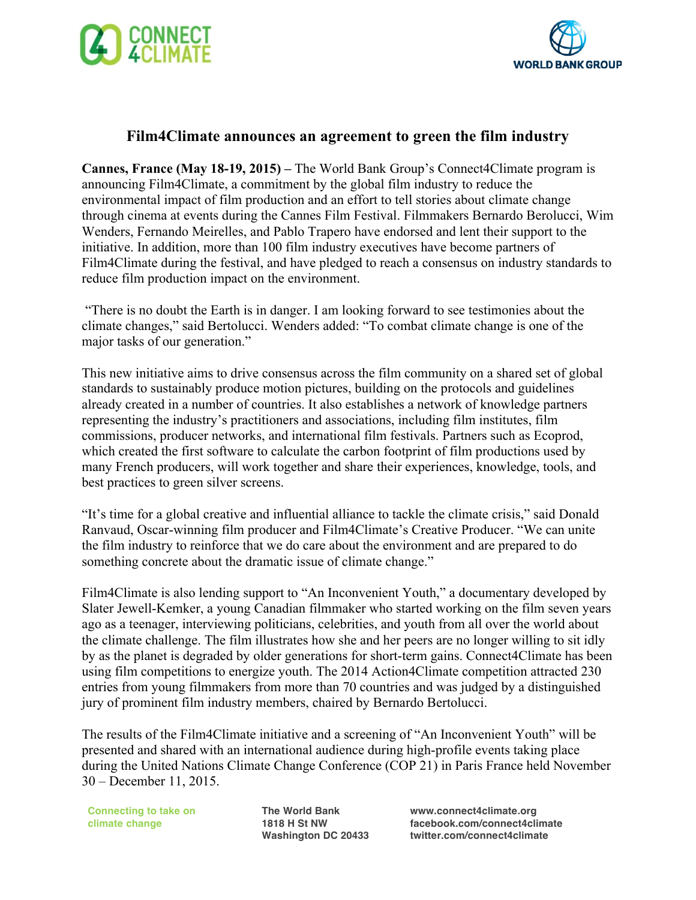



## **Film4Climate announces an agreement to green the film industry**

**Cannes, France (May 18-19, 2015) –** The World Bank Group's Connect4Climate program is announcing Film4Climate, a commitment by the global film industry to reduce the environmental impact of film production and an effort to tell stories about climate change through cinema at events during the Cannes Film Festival. Filmmakers Bernardo Berolucci, Wim Wenders, Fernando Meirelles, and Pablo Trapero have endorsed and lent their support to the initiative. In addition, more than 100 film industry executives have become partners of Film4Climate during the festival, and have pledged to reach a consensus on industry standards to reduce film production impact on the environment.

"There is no doubt the Earth is in danger. I am looking forward to see testimonies about the climate changes," said Bertolucci. Wenders added: "To combat climate change is one of the major tasks of our generation."

This new initiative aims to drive consensus across the film community on a shared set of global standards to sustainably produce motion pictures, building on the protocols and guidelines already created in a number of countries. It also establishes a network of knowledge partners representing the industry's practitioners and associations, including film institutes, film commissions, producer networks, and international film festivals. Partners such as Ecoprod, which created the first software to calculate the carbon footprint of film productions used by many French producers, will work together and share their experiences, knowledge, tools, and best practices to green silver screens.

"It's time for a global creative and influential alliance to tackle the climate crisis," said Donald Ranvaud, Oscar-winning film producer and Film4Climate's Creative Producer. "We can unite the film industry to reinforce that we do care about the environment and are prepared to do something concrete about the dramatic issue of climate change."

Film4Climate is also lending support to "An Inconvenient Youth," a documentary developed by Slater Jewell-Kemker, a young Canadian filmmaker who started working on the film seven years ago as a teenager, interviewing politicians, celebrities, and youth from all over the world about the climate challenge. The film illustrates how she and her peers are no longer willing to sit idly by as the planet is degraded by older generations for short-term gains. Connect4Climate has been using film competitions to energize youth. The 2014 Action4Climate competition attracted 230 entries from young filmmakers from more than 70 countries and was judged by a distinguished jury of prominent film industry members, chaired by Bernardo Bertolucci.

The results of the Film4Climate initiative and a screening of "An Inconvenient Youth" will be presented and shared with an international audience during high-profile events taking place during the United Nations Climate Change Conference (COP 21) in Paris France held November 30 – December 11, 2015.

**Connecting to take on climate change**

**The World Bank 1818 H St NW Washington DC 20433** **www.connect4climate.org facebook.com/connect4climate twitter.com/connect4climate**